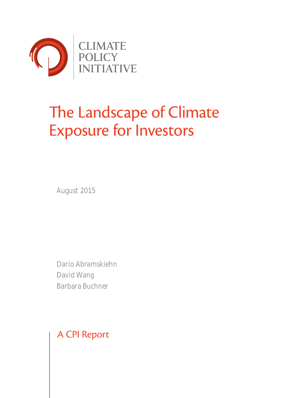

# The Landscape of Climate Exposure for Investors

August 2015

Dario Abramskiehn David Wang Barbara Buchner

A CPI Report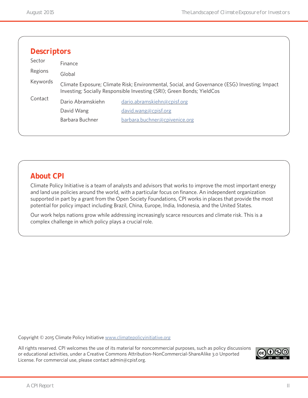| <b>Descriptors</b> |                                                                                                                                                                                   |                               |  |
|--------------------|-----------------------------------------------------------------------------------------------------------------------------------------------------------------------------------|-------------------------------|--|
| Sector             | Finance                                                                                                                                                                           |                               |  |
| Regions            | Global<br>Climate Exposure; Climate Risk; Environmental, Social, and Governance (ESG) Investing; Impact<br>Investing; Socially Responsible Investing (SRI); Green Bonds; YieldCos |                               |  |
| Keywords           |                                                                                                                                                                                   |                               |  |
| Contact            | Dario Abramskiehn                                                                                                                                                                 | dario.abramskiehn@cpisf.org   |  |
|                    | David Wang                                                                                                                                                                        | david.wang@cpisf.org          |  |
|                    | Barbara Buchner                                                                                                                                                                   | barbara.buchner@cpivenice.org |  |

### **About CPI**

Climate Policy Initiative is a team of analysts and advisors that works to improve the most important energy and land use policies around the world, with a particular focus on finance. An independent organization supported in part by a grant from the Open Society Foundations, CPI works in places that provide the most potential for policy impact including Brazil, China, Europe, India, Indonesia, and the United States.

Our work helps nations grow while addressing increasingly scarce resources and climate risk. This is a complex challenge in which policy plays a crucial role.

Copyright © 2015 Climate Policy Initiative [www.climatepolicyinitiative.org](http://www.climatepolicyinitiative.org )

All rights reserved. CPI welcomes the use of its material for noncommercial purposes, such as policy discussions or educational activities, under a Creative Commons Attribution-NonCommercial-ShareAlike 3.0 Unported License. For commercial use, please contact admin@cpisf.org.

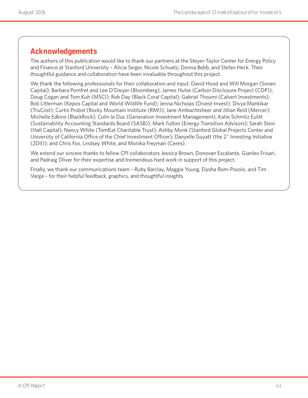### **Acknowledgements**

The authors of this publication would like to thank our partners at the Steyer-Taylor Center for Energy Policy and Finance at Stanford University – Alicia Seiger, Nicole Schuetz, Donna Bebb, and Stefan Heck. Their thoughtful guidance and collaboration have been invaluable throughout this project.

We thank the following professionals for their collaboration and input: David Hood and Will Morgan (Sonen Capital); Barbara Pomfret and Lee O'Dwyer (Bloomberg); James Hulse (Carbon Disclosure Project (CDP)); Doug Cogan and Tom Kuh (MSCI); Rob Day (Black Coral Capital); Gabriel Thoumi (Calvert Investments); Bob Litterman (Kepos Capital and World Wildlife Fund); Jenna Nicholas (Divest-Invest); Divya Mankikar (TruCost); Curtis Probst (Rocky Mountain Institute (RMI)); Jane Ambachtsheer and Jillian Reid (Mercer); Michelle Edkins (BlackRock); Colin le Duc (Generation Investment Management); Katie Schmitz Eulitt (Sustainability Accounting Standards Board (SASB)); Mark Fulton (Energy Transition Advisors); Sarah Stein (Hall Capital); Nancy White (TomKat Charitable Trust); Ashby Monk (Stanford Global Projects Center and University of California Office of the Chief Investment Officer); Danyelle Guyatt (the 2˚ Investing Initiative (2DII)); and Chris Fox, Lindsey White, and Monika Freyman (Ceres).

We extend our sincere thanks to fellow CPI collaborators Jessica Brown, Donovan Escalante, Gianleo Frisari, and Padraig Oliver for their expertise and tremendous hard work in support of this project.

Finally, we thank our communications team – Ruby Barclay, Maggie Young, Elysha Rom-Povolo, and Tim Varga – for their helpful feedback, graphics, and thoughtful insights.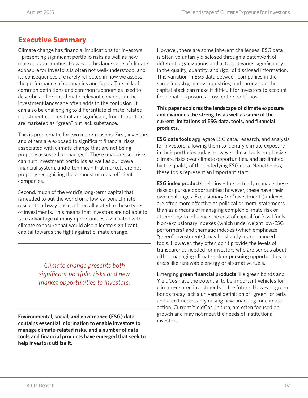### **Executive Summary**

Climate change has financial implications for investors – presenting significant portfolio risks as well as new market opportunities. However, this landscape of climate exposure for investors is often not well-understood, and its consequences are rarely reflected in how we assess the performance of companies and funds. The lack of common definitions and common taxonomies used to describe and orient climate-relevant concepts in the investment landscape often adds to the confusion. It can also be challenging to differentiate climate-related investment choices that are significant, from those that are marketed as "green" but lack substance.

This is problematic for two major reasons: First, investors and others are exposed to significant financial risks associated with climate change that are not being properly assessed or managed. These unaddressed risks can hurt investment portfolios as well as our overall financial system, and often mean that markets are not properly recognizing the cleanest or most efficient companies.

Second, much of the world's long-term capital that is needed to put the world on a low-carbon, climateresilient pathway has not been allocated to these types of investments. This means that investors are not able to take advantage of many opportunities associated with climate exposure that would also allocate significant capital towards the fight against climate change.

> *Climate change presents both significant portfolio risks and new market opportunities to investors.*

**Environmental, social, and governance (ESG) data contains essential information to enable investors to manage climate-related risks, and a number of data tools and financial products have emerged that seek to help investors utilize it.** 

However, there are some inherent challenges. ESG data is often voluntarily disclosed through a patchwork of different organizations and actors. It varies significantly in the quality, quantity, and rigor of disclosed information. This variation in ESG data between companies in the same industry, across industries, and throughout the capital stack can make it difficult for investors to account for climate exposure across entire portfolios.

#### **This paper explores the landscape of climate exposure and examines the strengths as well as some of the current limitations of ESG data, tools, and financial products.**

**ESG data tools** aggregate ESG data, research, and analysis for investors, allowing them to identify climate exposure in their portfolios today. However, these tools emphasize climate risks over climate opportunities, and are limited by the quality of the underlying ESG data. Nonetheless, these tools represent an important start.

**ESG index products** help investors actually manage these risks or pursue opportunities; however, these have their own challenges. Exclusionary (or "divestment") indexes are often more effective as political or moral statements than as a means of managing complex climate risk or attempting to influence the cost of capital for fossil fuels. Non-exclusionary indexes (which underweight low-ESG performers) and thematic indexes (which emphasize "green" investments) may be slightly more nuanced tools. However, they often don't provide the levels of transparency needed for investors who are serious about either managing climate risk or pursuing opportunities in areas like renewable energy or alternative fuels.

Emerging **green financial products** like green bonds and YieldCos have the potential to be important vehicles for climate-related investments in the future. However, green bonds today lack a universal definition of "green" criteria and aren't necessarily raising new financing for climate action. Current YieldCos, in turn, are often focused on growth and may not meet the needs of institutional investors.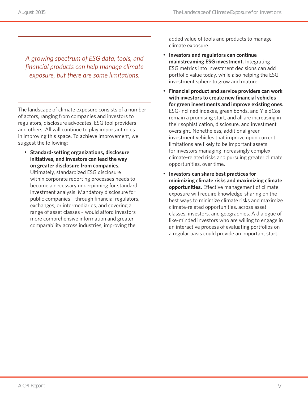*A growing spectrum of ESG data, tools, and financial products can help manage climate exposure, but there are some limitations.* 

The landscape of climate exposure consists of a number of actors, ranging from companies and investors to regulators, disclosure advocates, ESG tool providers and others. All will continue to play important roles in improving this space. To achieve improvement, we suggest the following:

• **Standard-setting organizations, disclosure initiatives, and investors can lead the way on greater disclosure from companies.** Ultimately, standardized ESG disclosure within corporate reporting processes needs to become a necessary underpinning for standard investment analysis. Mandatory disclosure for public companies – through financial regulators, exchanges, or intermediaries, and covering a range of asset classes – would afford investors more comprehensive information and greater comparability across industries, improving the

added value of tools and products to manage climate exposure.

- **Investors and regulators can continue mainstreaming ESG investment.** Integrating ESG metrics into investment decisions can add portfolio value today, while also helping the ESG investment sphere to grow and mature.
- **Financial product and service providers can work with investors to create new financial vehicles for green investments and improve existing ones.** ESG-inclined indexes, green bonds, and YieldCos remain a promising start, and all are increasing in their sophistication, disclosure, and investment oversight. Nonetheless, additional green investment vehicles that improve upon current limitations are likely to be important assets for investors managing increasingly complex climate-related risks and pursuing greater climate opportunities, over time.
- **Investors can share best practices for minimizing climate risks and maximizing climate opportunities.** Effective management of climate exposure will require knowledge-sharing on the best ways to minimize climate risks and maximize climate-related opportunities, across asset classes, investors, and geographies. A dialogue of like-minded investors who are willing to engage in an interactive process of evaluating portfolios on a regular basis could provide an important start.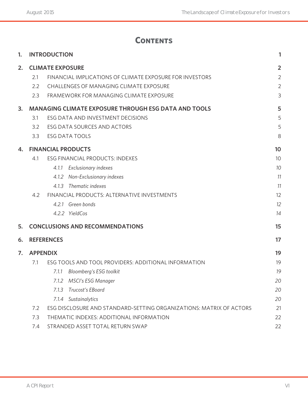# **Contents**

| 1. |                 | <b>INTRODUCTION</b>                                                 | 1              |
|----|-----------------|---------------------------------------------------------------------|----------------|
| 2. |                 | <b>CLIMATE EXPOSURE</b>                                             | $\overline{2}$ |
|    | 2.1             | FINANCIAL IMPLICATIONS OF CLIMATE EXPOSURE FOR INVESTORS            | $\overline{2}$ |
|    | 2.2             | <b>CHALLENGES OF MANAGING CLIMATE EXPOSURE</b>                      | $\overline{2}$ |
|    | 2.3             | FRAMEWORK FOR MANAGING CLIMATE EXPOSURE                             | 3              |
| 3. |                 | <b>MANAGING CLIMATE EXPOSURE THROUGH ESG DATA AND TOOLS</b>         | 5              |
|    | 3.1             | ESG DATA AND INVESTMENT DECISIONS                                   | 5              |
|    | 3.2             | ESG DATA SOURCES AND ACTORS                                         | 5              |
|    | 3.3             | <b>ESG DATA TOOLS</b>                                               | 8              |
| 4. |                 | <b>FINANCIAL PRODUCTS</b>                                           | 10             |
|    | 4.1             | <b>ESG FINANCIAL PRODUCTS: INDEXES</b>                              | 10             |
|    |                 | Exclusionary indexes<br>4.1.1                                       | 10             |
|    |                 | Non-Exclusionary indexes<br>4.1.2                                   | 11             |
|    |                 | Thematic indexes<br>4.1.3                                           | 11             |
|    | 4.2             | FINANCIAL PRODUCTS: ALTERNATIVE INVESTMENTS                         | 12             |
|    |                 | 4.2.1 Green bonds                                                   | 12             |
|    |                 | 4.2.2 YieldCos                                                      | 14             |
| 5. |                 | <b>CONCLUSIONS AND RECOMMENDATIONS</b>                              | 15             |
| 6. |                 | <b>REFERENCES</b>                                                   | 17             |
| 7. | <b>APPENDIX</b> |                                                                     | 19             |
|    | 7.1             | ESG TOOLS AND TOOL PROVIDERS: ADDITIONAL INFORMATION                | 19             |
|    |                 | Bloomberg's ESG toolkit<br>7.1.1                                    | 19             |
|    |                 | <b>MSCI's ESG Manager</b><br>7.1.2                                  | 20             |
|    |                 | Trucost's EBoard<br>7.1.3                                           | 20             |
|    |                 | 7.1.4 Sustainalytics                                                | 20             |
|    | 7.2             | ESG DISCLOSURE AND STANDARD-SETTING ORGANIZATIONS: MATRIX OF ACTORS | 21             |
|    | 7.3             | THEMATIC INDEXES: ADDITIONAL INFORMATION                            | 22             |
|    | 7.4             | STRANDED ASSET TOTAL RETURN SWAP                                    | 22             |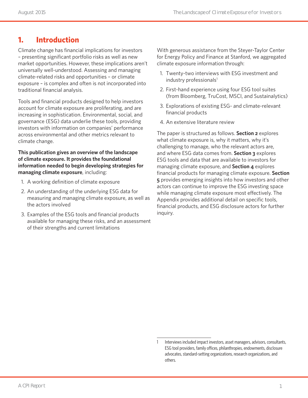### **1. Introduction**

Climate change has financial implications for investors – presenting significant portfolio risks as well as new market opportunities. However, these implications aren't universally well-understood. Assessing and managing climate-related risks and opportunities – or climate exposure – is complex and often is not incorporated into traditional financial analysis.

Tools and financial products designed to help investors account for climate exposure are proliferating, and are increasing in sophistication. Environmental, social, and governance (ESG) data underlie these tools, providing investors with information on companies' performance across environmental and other metrics relevant to climate change.

**This publication gives an overview of the landscape of climate exposure. It provides the foundational information needed to begin developing strategies for managing climate exposure**, including:

- 1. A working definition of climate exposure
- 2. An understanding of the underlying ESG data for measuring and managing climate exposure, as well as the actors involved
- 3. Examples of the ESG tools and financial products available for managing these risks, and an assessment of their strengths and current limitations

With generous assistance from the Steyer-Taylor Center for Energy Policy and Finance at Stanford, we aggregated climate exposure information through:

- 1. Twenty-two interviews with ESG investment and industry professionals<sup>1</sup>
- 2. First-hand experience using four ESG tool suites (from Bloomberg, TruCost, MSCI, and Sustainalytics)
- 3. Explorations of existing ESG- and climate-relevant financial products
- 4. An extensive literature review

The paper is structured as follows. **Section 2** explores what climate exposure is, why it matters, why it's challenging to manage, who the relevant actors are, and where ESG data comes from. **Section 3** explores ESG tools and data that are available to investors for managing climate exposure, and **Section 4** explores financial products for managing climate exposure. **Section 5** provides emerging insights into how investors and other actors can continue to improve the ESG investing space while managing climate exposure most effectively. The Appendix provides additional detail on specific tools, financial products, and ESG disclosure actors for further inquiry.

Interviews included impact investors, asset managers, advisors, consultants, ESG tool providers, family offices, philanthropies, endowments, disclosure advocates, standard-setting organizations, research organizations, and others.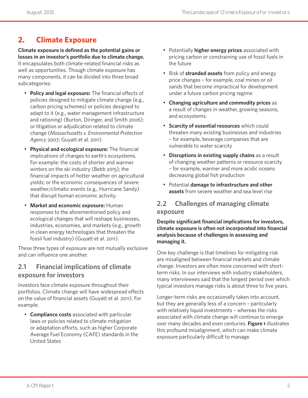# **2. Climate Exposure**

**Climate exposure is defined as the potential gains or losses in an investor's portfolio due to climate change.** It encapsulates both climate-related financial risks as well as opportunities. Though climate exposure has many components, it can be divided into three broad subcategories:

- **Policy and legal exposure:** The financial effects of policies designed to mitigate climate change (e.g., carbon pricing schemes) or policies designed to adapt to it (e.g., water management infrastructure and rationing) (Burton, Diringer, and Smith 2006); or litigation or adjudication related to climate change (*Massachusetts v. Environmental Protection Agency* 2007; Guyatt et al. 2011).
- **Physical and ecological exposure:** The financial implications of changes to earth's ecosystems. For example: the costs of shorter and warmer winters on the ski industry (Bebb 2015); the financial impacts of hotter weather on agricultural yields; or the economic consequences of severe weather/climatic events (e.g., Hurricane Sandy) that disrupt human economic activity.
- **Market and economic exposure:** Human responses to the aforementioned policy and ecological changes that will reshape businesses, industries, economies, and markets (e.g., growth in clean energy technologies that threaten the fossil fuel industry) (Guyatt et al. 2011).

These three types of exposure are not mutually exclusive and can influence one another.

### **2.1 Financial implications of climate exposure for investors**

Investors face climate exposure throughout their portfolios. Climate change will have widespread effects on the value of financial assets (Guyatt et al. 2011). For example:

• **Compliance costs** associated with particular laws or policies related to climate mitigation or adaptation efforts, such as higher Corporate Average Fuel Economy (CAFE) standards in the United States

- Potentially **higher energy prices** associated with pricing carbon or constraining use of fossil fuels in the future
- Risk of **stranded assets** from policy and energy price changes – for example, coal mines or oil sands that become impractical for development under a future carbon pricing regime
- **Changing agriculture and commodity prices** as a result of changes in weather, growing seasons, and ecosystems.
- **Scarcity of essential resources** which could threaten many existing businesses and industries – for example, beverage companies that are vulnerable to water scarcity
- **Disruptions in existing supply chains** as a result of changing weather patterns or resource scarcity – for example, warmer and more acidic oceans decreasing global fish production
- Potential **damage to infrastructure and other assets** from severe weather and sea level rise

### **2.2 Challenges of managing climate exposure**

**Despite significant financial implications for investors, climate exposure is often not incorporated into financial analysis because of challenges in assessing and managing it.** 

One key challenge is that timelines for mitigating risk are misaligned between financial markets and climate change. Investors are often more concerned with shortterm risks. In our interviews with industry stakeholders, many interviewees said that the longest period over which typical investors manage risks is about three to five years.

Longer-term risks are occasionally taken into account, but they are generally less of a concern – particularly with relatively liquid investments – whereas the risks associated with climate change will continue to emerge over many decades and even centuries. **Figure 1** illustrates this profound misalignment, which can make climate exposure particularly difficult to manage.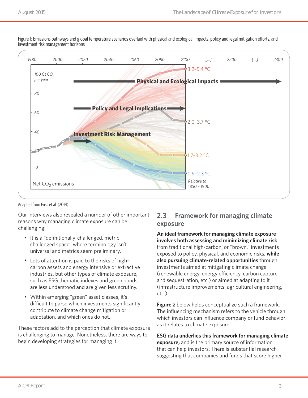

Figure 1: Emissions pathways and global temperature scenarios overlaid with physical and ecological impacts, policy and legal mitigation efforts, and investment risk management horizons

Adapted from Fuss et al. (2014)

Our interviews also revealed a number of other important reasons why managing climate exposure can be challenging:

- It is a "definitionally-challenged, metricchallenged space" where terminology isn't universal and metrics seem preliminary.
- Lots of attention is paid to the risks of highcarbon assets and energy intensive or extractive industries, but other types of climate exposure, such as ESG thematic indexes and green bonds, are less understood and are given less scrutiny.
- Within emerging "green" asset classes, it's difficult to parse which investments significantly contribute to climate change mitigation or adaptation, and which ones do not.

These factors add to the perception that climate exposure is challenging to manage. Nonetheless, there are ways to begin developing strategies for managing it.

### **2.3 Framework for managing climate exposure**

**An ideal framework for managing climate exposure involves both assessing and minimizing climate risk** from traditional high-carbon, or "brown," investments exposed to policy, physical, and economic risks, **while also pursuing climate-related opportunities** through investments aimed at mitigating climate change (renewable energy, energy efficiency, carbon capture and sequestration, etc.) or aimed at adapting to it (infrastructure improvements, agricultural engineering, etc.).

**Figure 2** below helps conceptualize such a framework. The influencing mechanism refers to the vehicle through which investors can influence company or fund behavior as it relates to climate exposure.

**ESG data underlies this framework for managing climate exposure,** and is the primary source of information that can help investors. There is substantial research suggesting that companies and funds that score higher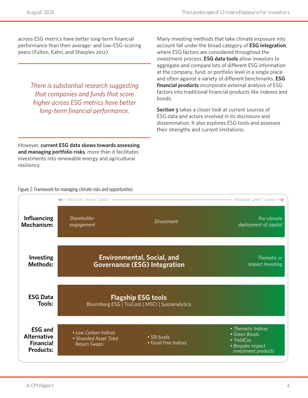across ESG metrics have better long-term financial performance than their average- and low-ESG-scoring peers (Fulton, Kahn, and Sharples 2012).

> *There is substantial research suggesting that companies and funds that score higher across ESG metrics have better long-term financial performance.*

Many investing methods that take climate exposure into account fall under the broad category of **ESG integration**, where ESG factors are considered throughout the investment process. **ESG data tools** allow investors to aggregate and compare lots of different ESG information at the company, fund, or portfolio level in a single place and often against a variety of different benchmarks. **ESG financial products** incorporate external analysis of ESG factors into traditional financial products like indexes and bonds.

**Section 3** takes a closer look at current sources of ESG data and actors involved in its disclosure and dissemination. It also explores ESG tools and assesses their strengths and current limitations.

However, **current ESG data skews towards assessing and managing portfolio risks**, more than it facilitates investments into renewable energy and agricultural resiliency.

Figure 2: Framework for managing climate risks and opportunities

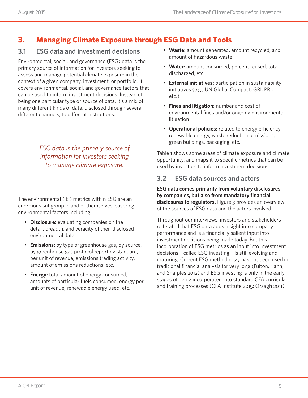# **3. Managing Climate Exposure through ESG Data and Tools**

# **3.1 ESG data and investment decisions**

Environmental, social, and governance (ESG) data is the primary source of information for investors seeking to assess and manage potential climate exposure in the context of a given company, investment, or portfolio. It covers environmental, social, and governance factors that can be used to inform investment decisions. Instead of being one particular type or source of data, it's a mix of many different kinds of data, disclosed through several different channels, to different institutions.

> *ESG data is the primary source of information for investors seeking to manage climate exposure.*

The environmental ('E') metrics within ESG are an enormous subgroup in and of themselves, covering environmental factors including:

- **Disclosure:** evaluating companies on the detail, breadth, and veracity of their disclosed environmental data
- **Emissions:** by type of greenhouse gas, by source, by greenhouse gas protocol reporting standard, per unit of revenue, emissions trading activity, amount of emissions reductions, etc.
- **Energy:** total amount of energy consumed, amounts of particular fuels consumed, energy per unit of revenue, renewable energy used, etc.
- **Waste:** amount generated, amount recycled, and amount of hazardous waste
- **Water:** amount consumed, percent reused, total discharged, etc.
- **External initiatives:** participation in sustainability initiatives (e.g., UN Global Compact, GRI, PRI, etc.)
- **Fines and litigation:** number and cost of environmental fines and/or ongoing environmental litigation
- **Operational policies:** related to energy efficiency, renewable energy, waste reduction, emissions, green buildings, packaging, etc.

Table 1 shows some areas of climate exposure and climate opportunity, and maps it to specific metrics that can be used by investors to inform investment decisions.

# **3.2 ESG data sources and actors**

**ESG data comes primarily from voluntary disclosures by companies, but also from mandatory financial disclosures to regulators.** Figure 3 provides an overview of the sources of ESG data and the actors involved.

Throughout our interviews, investors and stakeholders reiterated that ESG data adds insight into company performance and is a financially salient input into investment decisions being made today. But this incorporation of ESG metrics as an input into investment decisions – called ESG investing – is still evolving and maturing. Current ESG methodology has not been used in traditional financial analysis for very long (Fulton, Kahn, and Sharples 2012) and ESG investing is only in the early stages of being incorporated into standard CFA curricula and training processes (CFA Institute 2015; Orsagh 2011).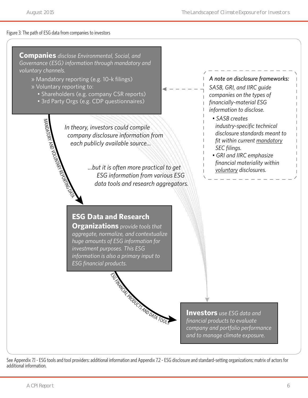#### Figure 3: The path of ESG data from companies to investors



See Appendix 7.1 - ESG tools and tool providers: additional information and Appendix 7.2 - ESG disclosure and standard-setting organizations; matrix of actors for additional information.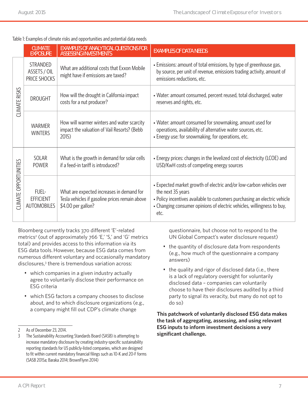#### Table 1: Examples of climate risks and opportunities and potential data needs

|                          | <b>CLIMATE</b><br><b>EXPOSURE</b>               | <b>EXAMPLES OF ANALYTICAL QUESTIONS FOR</b><br><b>ASSESSING INVESTMENTS</b>                                       | <b>EXAMPLES OF DATA NEEDS</b>                                                                                                                                                                                                                            |
|--------------------------|-------------------------------------------------|-------------------------------------------------------------------------------------------------------------------|----------------------------------------------------------------------------------------------------------------------------------------------------------------------------------------------------------------------------------------------------------|
|                          | <b>STRANDED</b><br>ASSETS / OIL<br>PRICE SHOCKS | What are additional costs that Exxon Mobile<br>might have if emissions are taxed?                                 | • Emissions: amount of total emissions, by type of greenhouse gas,<br>by source, per unit of revenue, emissions trading activity, amount of<br>emissions reductions, etc.                                                                                |
| <b>CLIMATE RISKS</b>     | <b>DROUGHT</b>                                  | How will the drought in California impact<br>costs for a nut producer?                                            | • Water: amount consumed, percent reused, total discharged, water<br>reserves and rights, etc.                                                                                                                                                           |
|                          | <b>WARMER</b><br><b>WINTERS</b>                 | How will warmer winters and water scarcity<br>impact the valuation of Vail Resorts? (Bebb<br>2015)                | • Water: amount consumed for snowmaking, amount used for<br>operations, availability of alternative water sources, etc.<br>• Energy use: for snowmaking, for operations, etc.                                                                            |
| OPPORTUNITIES<br>CLIMATE | SOLAR<br><b>POWER</b>                           | What is the growth in demand for solar cells<br>if a feed-in tariff is introduced?                                | • Energy prices: changes in the levelized cost of electricity (LCOE) and<br>USD/KwH costs of competing energy sources                                                                                                                                    |
|                          | FUEL-<br><b>EFFICIENT</b><br><b>AUTOMOBILES</b> | What are expected increases in demand for<br>Tesla vehicles if gasoline prices remain above<br>\$4.00 per gallon? | • Expected market growth of electric and/or low-carbon vehicles over<br>the next 35 years<br>. Policy incentives available to customers purchasing an electric vehicle<br>• Changing consumer opinions of electric vehicles, willingness to buy,<br>etc. |

Bloomberg currently tracks 370 different 'E'-related metrics<sup>2</sup> (out of approximately 766 'E,' 'S,' and 'G' metrics total) and provides access to this information via its ESG data tools.However, because ESG data comes from numerous different voluntary and occasionally mandatory disclosures,3 there is tremendous variation across:

- which companies in a given industry actually agree to voluntarily disclose their performance on ESG criteria
- which ESG factors a company chooses to disclose about, and to which disclosure organizations (e.g., a company might fill out CDP's climate change

questionnaire, but choose not to respond to the UN Global Compact's water disclosure request)

- the quantity of disclosure data from respondents (e.g., how much of the questionnaire a company answers)
- the quality and rigor of disclosed data (i.e., there is a lack of regulatory oversight for voluntarily disclosed data – companies can voluntarily choose to have their disclosures audited by a third party to signal its veracity, but many do not opt to do so)

#### **This patchwork of voluntarily disclosed ESG data makes the task of aggregating, assessing, and using relevant ESG inputs to inform investment decisions a very significant challenge.**

<sup>2</sup> As of December 23, 2014.

<sup>3</sup> The Sustainability Accounting Standards Board (SASB) is attempting to increase mandatory disclosure by creating industry-specific sustainability reporting standards for US publicly-listed companies, which are designed to fit within current mandatory financial filings such as 10-K and 20-F forms (SASB 2015a; Baraka 2014; BrownFlynn 2014)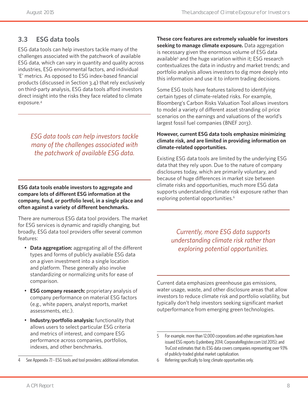### **3.3 ESG data tools**

ESG data tools can help investors tackle many of the challenges associated with the patchwork of available ESG data, which can vary in quantity and quality across industries, ESG environmental factors, and individual 'E' metrics. As opposed to ESG index-based financial products (discussed in Section 3.4) that rely exclusively on third-party analysis, ESG data tools afford investors direct insight into the risks they face related to climate exposure.4

*ESG data tools can help investors tackle many of the challenges associated with the patchwork of available ESG data.* 

**ESG data tools enable investors to aggregate and compare lots of different ESG information at the company, fund, or portfolio level, in a single place and often against a variety of different benchmarks.**

There are numerous ESG data tool providers. The market for ESG services is dynamic and rapidly changing, but broadly, ESG data tool providers offer several common features:

- **Data aggregation:** aggregating all of the different types and forms of publicly available ESG data on a given investment into a single location and platform. These generally also involve standardizing or normalizing units for ease of comparison.
- **ESG company research:** proprietary analysis of company performance on material ESG factors (e.g., white papers, analyst reports, market assessments, etc.).
- **Industry/portfolio analysis:** functionality that allows users to select particular ESG criteria and metrics of interest, and compare ESG performance across companies, portfolios, indexes, and other benchmarks.
- See Appendix 7.1 ESG tools and tool providers: additional information.

**These core features are extremely valuable for investors seeking to manage climate exposure.** Data aggregation is necessary given the enormous volume of ESG data available<sup>5</sup> and the huge variation within it; ESG research contextualizes the data in industry and market trends; and portfolio analysis allows investors to dig more deeply into this information and use it to inform trading decisions.

Some ESG tools have features tailored to identifying certain types of climate-related risks. For example, Bloomberg's Carbon Risks Valuation Tool allows investors to model a variety of different asset stranding oil price scenarios on the earnings and valuations of the world's largest fossil fuel companies (BNEF 2013).

#### **However, current ESG data tools emphasize minimizing climate risk, and are limited in providing information on climate-related opportunities.**

Existing ESG data tools are limited by the underlying ESG data that they rely upon. Due to the nature of company disclosures today, which are primarily voluntary, and because of huge differences in market size between climate risks and opportunities, much more ESG data supports understanding climate risk exposure rather than exploring potential opportunities.<sup>6</sup>

> *Currently, more ESG data supports understanding climate risk rather than exploring potential opportunities.*

Current data emphasizes greenhouse gas emissions, water usage, waste, and other disclosure areas that allow investors to reduce climate risk and portfolio volatility, but typically don't help investors seeking significant market outperformance from emerging green technologies.

6 Referring specifically to long climate opportunities only.

<sup>5</sup> For example, more than 12,000 corporations and other organizations have issued ESG reports (Lydenberg 2014; CorporateRegister.com Ltd 2015); and TruCost estimates that its ESG data covers companies representing over 93% of publicly-traded global market capitalization.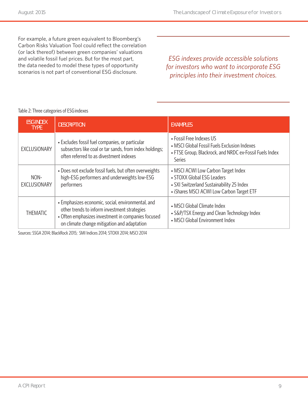For example, a future green equivalent to Bloomberg's Carbon Risks Valuation Tool could reflect the correlation (or lack thereof) between green companies' valuations and volatile fossil fuel prices. But for the most part, the data needed to model these types of opportunity scenarios is not part of conventional ESG disclosure.

*ESG indexes provide accessible solutions for investors who want to incorporate ESG principles into their investment choices.*

#### Table 2: Three categories of ESG indexes

| <b>ESG INDEX</b><br><b>DESCRIPTION</b><br><b>TYPE</b> |                                                                                                                                                                                                        | <b>EXAMPLES</b>                                                                                                                                             |  |
|-------------------------------------------------------|--------------------------------------------------------------------------------------------------------------------------------------------------------------------------------------------------------|-------------------------------------------------------------------------------------------------------------------------------------------------------------|--|
| EXCLUSIONARY                                          | • Excludes fossil fuel companies, or particular<br>subsectors like coal or tar sands, from index holdings;<br>often referred to as divestment indexes                                                  | • Fossil Free Indexes US<br>• MSCI Global Fossil Fuels Exclusion Indexes<br>• FTSE Group, Blackrock, and NRDC ex-Fossil Fuels Index<br>Series               |  |
| NON-<br>EXCLUSIONARY                                  | • Does not exclude fossil fuels, but often overweights<br>high-ESG performers and underweights low-ESG<br>performers                                                                                   | • MSCI ACWI Low Carbon Target Index<br>• STOXX Global ESG Leaders<br>• SXI Switzerland Sustainability 25 Index<br>• iShares MSCI ACWI Low Carbon Target ETF |  |
| <b>THEMATIC</b>                                       | • Emphasizes economic, social, environmental, and<br>other trends to inform investment strategies<br>• Often emphasizes investment in companies focused<br>on climate change mitigation and adaptation | • MSCI Global Climate Index<br>• S&P/TSX Energy and Clean Technology Index<br>• MSCI Global Environment Index                                               |  |

Sources: SSGA 2014; BlackRock 2015; SMI Indices 2014; STOXX 2014; MSCI 2014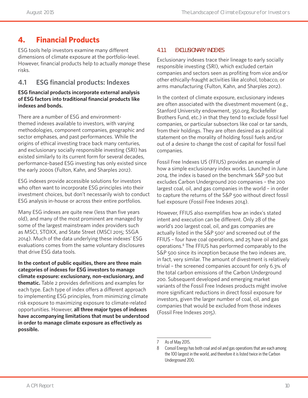# **4. Financial Products**

ESG tools help investors examine many different dimensions of climate exposure at the portfolio-level. However, financial products help to actually *manage* these risks.

### **4.1 ESG financial products: Indexes**

#### **ESG financial products incorporate external analysis of ESG factors into traditional financial products like indexes and bonds.**

There are a number of ESG and environmentthemed indexes available to investors, with varying methodologies, component companies, geographic and sector emphases, and past performances. While the origins of ethical investing trace back many centuries, and exclusionary socially responsible investing (SRI) has existed similarly to its current form for several decades, performance-based ESG investing has only existed since the early 2000s (Fulton, Kahn, and Sharples 2012).

ESG indexes provide accessible solutions for investors who often want to incorporate ESG principles into their investment choices, but don't necessarily wish to conduct ESG analysis in-house or across their entire portfolios.

Many ESG indexes are quite new (less than five years old), and many of the most prominent are managed by some of the largest mainstream index providers such as MSCI, STOXX, and State Street (MSCI 2015; SSGA 2014). Much of the data underlying these indexes' ESG evaluations comes from the same voluntary disclosures that drive ESG data tools.

**In the context of public equities, there are three main categories of indexes for ESG investors to manage climate exposure: exclusionary, non-exclusionary, and thematic.** Table 2 provides definitions and examples for each type. Each type of index offers a different approach to implementing ESG principles, from minimizing climate risk exposure to maximizing exposure to climate-related opportunities. However, **all three major types of indexes have accompanying limitations that must be understood in order to manage climate exposure as effectively as possible.**

#### **4.1.1 EXCLUSIONARY INDEXES**

Exclusionary indexes trace their lineage to early socially responsible investing (SRI), which excluded certain companies and sectors seen as profiting from vice and/or other ethically-fraught activities like alcohol, tobacco, or arms manufacturing (Fulton, Kahn, and Sharples 2012).

In the context of climate exposure, exclusionary indexes are often associated with the divestment movement (e.g., Stanford University endowment, 350.org, Rockefeller Brothers Fund, etc.) in that they tend to exclude fossil fuel companies, or particular subsectors like coal or tar sands, from their holdings. They are often desired as a political statement on the morality of holding fossil fuels and/or out of a desire to change the cost of capital for fossil fuel companies.

Fossil Free Indexes US (FFIUS) provides an example of how a simple exclusionary index works. Launched in June 2014, the index is based on the benchmark S&P 500 but excludes Carbon Underground 200 companies – the 200 largest coal, oil, and gas companies in the world – in order to capture the returns of the S&P 500 without direct fossil fuel exposure (Fossil Free Indexes 2014).

However, FFIUS also exemplifies how an index's stated intent and execution can be different. Only 28 of the world's 200 largest coal, oil, and gas companies are actually listed in the S&P 5007 and screened out of the FFIUS – four have coal operations, and 25 have oil and gas operations.8 The FFIUS has performed comparably to the S&P 500 since its inception because the two indexes are, in fact, very similar. The amount of divestment is relatively trivial – the screened companies account for only 6.3% of the total carbon emissions of the Carbon Underground 200. Subsequent developed and emerging market variants of the Fossil Free Indexes products might involve more significant reductions in direct fossil exposure for investors, given the larger number of coal, oil, and gas companies that would be excluded from those indexes (Fossil Free Indexes 2015).

<sup>7</sup> As of May 2015.

<sup>8</sup> Consol Energy has both coal and oil and gas operations that are each among the 100 largest in the world, and therefore it is listed twice in the Carbon Underground 200.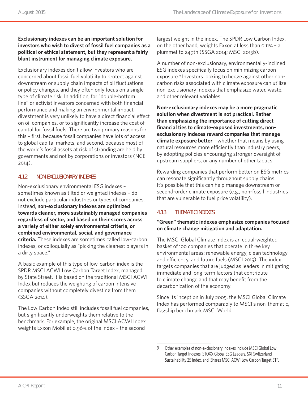#### **Exclusionary indexes can be an important solution for investors who wish to divest of fossil fuel companies as a political or ethical statement, but they represent a fairly blunt instrument for managing climate exposure.**

Exclusionary indexes don't allow investors who are concerned about fossil fuel volatility to protect against downstream or supply chain impacts of oil fluctuations or policy changes, and they often only focus on a single type of climate risk. In addition, for "double-bottom line" or activist investors concerned with both financial performance and making an environmental impact, divestment is very unlikely to have a direct financial effect on oil companies, or to significantly increase the cost of capital for fossil fuels. There are two primary reasons for this – first, because fossil companies have lots of access to global capital markets, and second, because most of the world's fossil assets at risk of stranding are held by governments and not by corporations or investors (NCE 2014).

#### **4.1.2 NON-EXCLUSIONARY INDEXES**

Non-exclusionary environmental ESG indexes – sometimes known as tilted or weighted indexes – do not exclude particular industries or types of companies. Instead, **non-exclusionary indexes are optimized towards cleaner, more sustainably managed companies regardless of sector, and based on their scores across a variety of either solely environmental criteria, or combined environmental, social, and governance criteria.** These indexes are sometimes called low-carbon indexes, or colloquially as "picking the cleanest players in a dirty space."

A basic example of this type of low-carbon index is the SPDR MSCI ACWI Low Carbon Target Index, managed by State Street. It is based on the traditional MSCI ACWI Index but reduces the weighting of carbon intensive companies without completely divesting from them (SSGA 2014).

The Low Carbon Index still includes fossil fuel companies, but significantly underweights them relative to the benchmark. For example, the original MSCI ACWI Index weights Exxon Mobil at 0.96% of the index – the second

largest weight in the index. The SPDR Low Carbon Index, on the other hand, weights Exxon at less than 0.11% – a plummet to 249th (SSGA 2014; MSCI 2015b).

A number of non-exclusionary, environmentally-inclined ESG indexes specifically focus on minimizing carbon exposure.<sup>9</sup> Investors looking to hedge against other noncarbon risks associated with climate exposure can utilize non-exclusionary indexes that emphasize water, waste, and other relevant variables.

**Non-exclusionary indexes may be a more pragmatic solution when divestment is not practical. Rather than emphasizing the importance of cutting direct financial ties to climate-exposed investments, nonexclusionary indexes reward companies that manage climate exposure better** – whether that means by using natural resources more efficiently than industry peers, by adopting policies encouraging stronger oversight of upstream suppliers, or any number of other tactics.

Rewarding companies that perform better on ESG metrics can resonate significantly throughout supply chains. It's possible that this can help manage downstream or second-order climate exposure (e.g., non-fossil industries that are vulnerable to fuel price volatility).

#### **4.1.3 THEMATIC INDEXES**

#### **"Green" thematic indexes emphasize companies focused on climate change mitigation and adaptation.**

The MSCI Global Climate Index is an equal-weighted basket of 100 companies that operate in three key environmental areas: renewable energy, clean technology and efficiency, and future fuels (MSCI 2015). The index targets companies that are judged as leaders in mitigating immediate and long-term factors that contribute to climate change and that may benefit from the decarbonization of the economy.

Since its inception in July 2005, the MSCI Global Climate Index has performed comparably to MSCI's non-thematic, flagship benchmark MSCI World.

<sup>9</sup> Other examples of non-exclusionary indexes include MSCI Global Low Carbon Target Indexes, STOXX Global ESG Leaders, SXI Switzerland Sustainability 25 Index, and iShares MSCI ACWI Low Carbon Target ETF.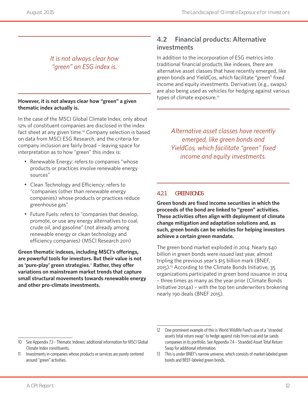### *It is not always clear how "green" an ESG index is.*

#### **However, it is not always clear how "green" a given thematic index actually is.**

In the case of the MSCI Global Climate Index, only about 12% of constituent companies are disclosed in the index fact sheet at any given time.<sup>10</sup> Company selection is based on data from MSCI ESG Research, and the criteria for company inclusion are fairly broad – leaving space for interpretation as to how "green" this index is:

- Renewable Energy: refers to companies "whose products or practices involve renewable energy sources"
- Clean Technology and Efficiency: refers to "companies (other than renewable energy companies) whose products or practices reduce greenhouse gas"
- Future Fuels: refers to "companies that develop, promote, or use any energy alternatives to coal, crude oil, and gasoline" (not already among renewable energy or clean technology and efficiency companies) (MSCI Research 2011)

**Green thematic indexes, including MSCI's offerings, are powerful tools for investors. But their value is not as 'pure-play' green strategies.**<sup>11</sup> **Rather, they offer variations on mainstream market trends that capture small structural movements towards renewable energy and other pro-climate investments.**

### **4.2 Financial products: Alternative investments**

In addition to the incorporation of ESG metrics into traditional financial products like indexes, there are alternative asset classes that have recently emerged, like green bonds and YieldCos, which facilitate "green" fixed income and equity investments. Derivatives (e.g., swaps) are also being used as vehicles for hedging against various types of climate exposure.<sup>12</sup>

*Alternative asset classes have recently emerged, like green bonds and YieldCos, which facilitate "green" fixed income and equity investments.*

#### **4.2.1 GREEN BONDS**

**Green bonds are fixed income securities in which the proceeds of the bond are linked to "green" activities. These activities often align with deployment of climate change mitigation and adaptation solutions and, as such, green bonds can be vehicles for helping investors achieve a certain green mandate.** 

The green bond market exploded in 2014. Nearly \$40 billion in green bonds were issued last year, almost tripling the previous year's \$15 billion mark (BNEF, 2015).13 According to the Climate Bonds Initiative, 35 organizations participated in green bond issuance in 2014 – three times as many as the year prior (Climate Bonds Initiative 2014a) – with the top ten underwriters brokering nearly 190 deals (BNEF 2015).

<sup>10</sup> See Appendix 7.3 - Thematic Indexes: additional information for MSCI Global Climate Index constituents.

<sup>11</sup> Investments in companies whose products or services are purely centered around "green" activities.

<sup>12</sup> One prominent example of this is World Wildlife Fund's use of a "stranded assets total return swap" to hedge against risks from coal and tar sands companies in its portfolio. See Appendix 7.4 – Stranded Asset Total Return Swap for additional information.

<sup>13</sup> This is under BNEF's narrow universe, which consists of market-labeled green bonds and BEEF-labeled green bonds.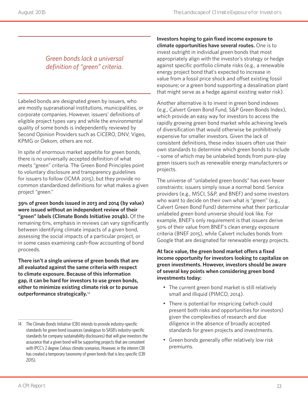*Green bonds lack a universal definition of "green" criteria.*

Labeled bonds are designated green by issuers, who are mostly supranational institutions, municipalities, or corporate companies. However, issuers' definitions of eligible project types vary and while the environmental quality of some bonds is independently reviewed by Second Opinion Providers such as CICERO, DNV, Vigeo, KPMG or Oekom, others are not.

In spite of enormous market appetite for green bonds, there is no universally accepted definition of what meets "green" criteria. The Green Bond Principles point to voluntary disclosure and transparency guidelines for issuers to follow (ICMA 2015), but they provide no common standardized definitions for what makes a given project "green."

**39% of green bonds issued in 2013 and 2014 (by value) were issued without an independent review of their "green" labels (Climate Bonds Initiative 2014b).** Of the remaining 61%, emphasis in reviews can vary significantly between identifying climate impacts of a given bond, assessing the social impacts of a particular project, or in some cases examining cash-flow accounting of bond proceeds.

**There isn't a single universe of green bonds that are all evaluated against the same criteria with respect to climate exposure. Because of this information gap, it can be hard for investors to use green bonds, either to minimize existing climate risk or to pursue outperformance strategically.**<sup>14</sup>

**Investors hoping to gain fixed income exposure to climate opportunities have several routes.** One is to invest outright in individual green bonds that most appropriately align with the investor's strategy or hedge against specific portfolio climate risks (e.g., a renewable energy project bond that's expected to increase in value from a fossil price shock and offset existing fossil exposure; or a green bond supporting a desalination plant that might serve as a hedge against existing water risk).

Another alternative is to invest in green bond indexes (e.g., Calvert Green Bond Fund, S&P Green Bonds Index), which provide an easy way for investors to access the rapidly growing green bond market while achieving levels of diversification that would otherwise be prohibitively expensive for smaller investors. Given the lack of consistent definitions, these index issuers often use their own standards to determine which green bonds to include – some of which may be unlabeled bonds from pure-play green issuers such as renewable energy manufacturers or projects.

The universe of "unlabeled green bonds" has even fewer constraints: issuers simply issue a normal bond. Service providers (e.g., MSCI, S&P, and BNEF) and some investors who want to decide on their own what is "green" (e.g., Calvert Green Bond Fund) determine what their particular unlabeled green bond universe should look like. For example, BNEF's only requirement is that issuers derive 50% of their value from BNEF's clean energy exposure criteria (BNEF 2015), while Calvert includes bonds from Google that are designated for renewable energy projects.

#### **At face value, the green bond market offers a fixed income opportunity for investors looking to capitalize on green investments. However, investors should be aware of several key points when considering green bond investments today:**

- The current green bond market is still relatively small and illiquid (PIMCO, 2014).
- There is potential for mispricing (which could present both risks and opportunities for investors) given the complexities of research and due diligence in the absence of broadly accepted standards for green projects and investments.
- Green bonds generally offer relatively low risk premiums.

<sup>14</sup> The Climate Bonds Initiative (CBI) intends to provide industry-specific standards for green bond issuances (analogous to SASB's industry-specific standards for company sustainability disclosures) that will give investors the assurance that a given bond will be supporting projects that are consistent with IPCC's 2 degree Celsius climate scenarios. However, in the interim CBI has created a temporary taxonomy of green bonds that is less specific (CBI 2015).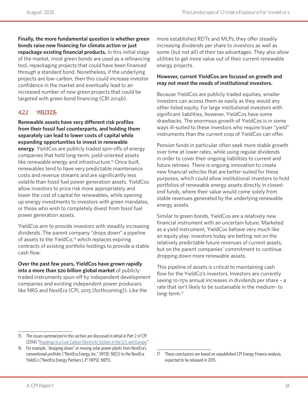**Finally, the more fundamental question is whether green bonds raise new financing for climate action or just repackage existing financial products.** In this initial stage of the market, most green bonds are used as a refinancing tool, repackaging projects that could have been financed through a standard bond. Nonetheless, if the underlying projects are low-carbon, then this could increase investor confidence in the market and eventually lead to an increased number of new green projects that could be targeted with green bond financing (CBI 2014b).

#### **4.2.2 YIELDCOS**

**Renewable assets have very different risk profiles from their fossil fuel counterparts, and holding them separately can lead to lower costs of capital while expanding opportunities to invest in renewable energy**. YieldCos are publicly traded spin-offs of energy companies that hold long-term, yield-oriented assets like renewable energy and infrastructure.<sup>15</sup> Once built, renewables tend to have very predictable maintenance costs and revenue streams and are significantly less volatile than fossil fuel power generation assets. YieldCos allow investors to price risk more appropriately and lower the cost of capital for renewables, while opening up energy investments to investors with green mandates, or those who wish to completely divest from fossil fuel power generation assets.

YieldCos aim to provide investors with steadily increasing dividends. The parent company "drops down" a pipeline of assets to the YieldCo,<sup>16</sup> which replaces expiring contracts of existing portfolio holdings to provide a stable cash flow.

**Over the past few years, YieldCos have grown rapidly into a more than \$20 billion global market** of publicly traded instruments spun-off by independent development companies and existing independent power producers like NRG and NextEra (CPI, 2015 (forthcoming)). Like the

more established REITs and MLPs, they offer steadily increasing dividends per share to investors as well as some (but not all) of their tax advantages. They also allow utilities to get more value out of their current renewable energy projects.

#### **However, current YieldCos are focused on growth and may not meet the needs of institutional investors.**

Because YieldCos are publicly traded equities, smaller investors can access them as easily as they would any other listed equity. For large institutional investors with significant liabilities, however, YieldCos have some drawbacks. The enormous growth of YieldCos is in some ways ill-suited to these investors who require truer "yield" instruments than the current crop of YieldCos can offer.

Pension funds in particular often seek more stable growth over time at lower rates, while using regular dividends in order to cover their ongoing liabilities to current and future retirees. There is ongoing innovation to create new financial vehicles that are better-suited for these purposes, which could allow institutional investors to hold portfolios of renewable energy assets directly in closedend funds, where their value would come solely from stable revenues generated by the underlying renewable energy assets.

Similar to green bonds, YieldCos are a relatively new financial instrument with an uncertain future. Marketed as a yield instrument, YieldCos behave very much like an equity play: investors today are betting not on the relatively predictable future revenues of current assets, but on the parent companies' commitment to continue dropping down more renewable assets.

This pipeline of assets is critical to maintaining cash flow for the YieldCo's investors. Investors are currently seeing 10-15% annual increases in dividends per share – a rate that isn't likely to be sustainable in the medium- to long-term.<sup>17</sup>

<sup>15</sup> The issues summarized in this section are discussed in detail in Part 2 of CPI (2014) ["Roadmap to a Low Carbon Electricity System in the U.S. and Europe.](http://climatepolicyinitiative.org/publication/roadmap-to-a-low-carbon-electricity-system-in-the-u-s-and-europe/)"

<sup>16</sup> For example, "dropping down" or moving solar power plants from NextEra's conventional portfolio ("NextEra Energy, Inc." (NYSE: NEE)) to the NextEra YieldCo ("NextEra Energy Partners L.P." (NYSE: NEP)).

<sup>17</sup> These conclusions are based on unpublished CPI Energy Finance analysis, expected to be released in 2015.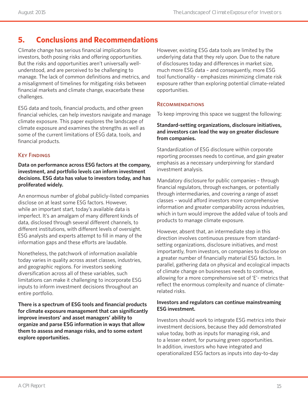# **5. Conclusions and Recommendations**

Climate change has serious financial implications for investors, both posing risks and offering opportunities. But the risks and opportunities aren't universally wellunderstood, and are perceived to be challenging to manage. The lack of common definitions and metrics, and a misalignment of timelines for mitigating risks between financial markets and climate change, exacerbate these challenges.

ESG data and tools, financial products, and other green financial vehicles, can help investors navigate and manage climate exposure. This paper explores the landscape of climate exposure and examines the strengths as well as some of the current limitations of ESG data, tools, and financial products.

#### **KEY FINDINGS**

**Data on performance across ESG factors at the company, investment, and portfolio levels can inform investment decisions. ESG data has value to investors today, and has proliferated widely.**

An enormous number of global publicly-listed companies disclose on at least some ESG factors. However, while an important start, today's available data is imperfect. It's an amalgam of many different kinds of data, disclosed through several different channels, to different institutions, with different levels of oversight. ESG analysts and experts attempt to fill in many of the information gaps and these efforts are laudable.

Nonetheless, the patchwork of information available today varies in quality across asset classes, industries, and geographic regions. For investors seeking diversification across all of these variables, such limitations can make it challenging to incorporate ESG inputs to inform investment decisions throughout an entire portfolio.

**There is a spectrum of ESG tools and financial products for climate exposure management that can significantly improve investors' and asset managers' ability to organize and parse ESG information in ways that allow them to assess and manage risks, and to some extent explore opportunities.**

However, existing ESG data tools are limited by the underlying data that they rely upon. Due to the nature of disclosures today and differences in market size, much more ESG data – and consequently, more ESG tool functionality – emphasizes minimizing climate risk exposure rather than exploring potential climate-related opportunities.

#### **RECOMMENDATIONS**

To keep improving this space we suggest the following:

#### **Standard-setting organizations, disclosure initiatives, and investors can lead the way on greater disclosure from companies.**

Standardization of ESG disclosure within corporate reporting processes needs to continue, and gain greater emphasis as a necessary underpinning for standard investment analysis.

Mandatory disclosure for public companies – through financial regulators, through exchanges, or potentially through intermediaries, and covering a range of asset classes – would afford investors more comprehensive information and greater comparability across industries, which in turn would improve the added value of tools and products to manage climate exposure.

However, absent that, an intermediate step in this direction involves continuous pressure from standardsetting organizations, disclosure initiatives, and most importantly, from investors, on companies to disclose on a greater number of financially material ESG factors. In parallel, gathering data on physical and ecological impacts of climate change on businesses needs to continue, allowing for a more comprehensive set of 'E'- metrics that reflect the enormous complexity and nuance of climaterelated risks.

#### **Investors and regulators can continue mainstreaming ESG investment.**

Investors should work to integrate ESG metrics into their investment decisions, because they add demonstrated value today, both as inputs for managing risk, and to a lesser extent, for pursuing green opportunities. In addition, investors who have integrated and operationalized ESG factors as inputs into day-to-day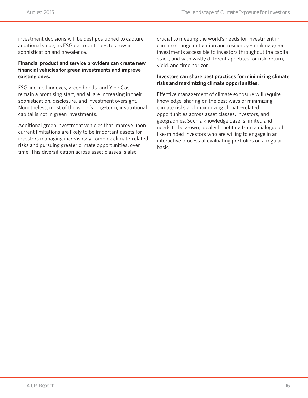investment decisions will be best positioned to capture additional value, as ESG data continues to grow in sophistication and prevalence.

#### **Financial product and service providers can create new financial vehicles for green investments and improve existing ones.**

ESG-inclined indexes, green bonds, and YieldCos remain a promising start, and all are increasing in their sophistication, disclosure, and investment oversight. Nonetheless, most of the world's long-term, institutional capital is not in green investments.

Additional green investment vehicles that improve upon current limitations are likely to be important assets for investors managing increasingly complex climate-related risks and pursuing greater climate opportunities, over time. This diversification across asset classes is also

crucial to meeting the world's needs for investment in climate change mitigation and resiliency – making green investments accessible to investors throughout the capital stack, and with vastly different appetites for risk, return, yield, and time horizon.

#### **Investors can share best practices for minimizing climate risks and maximizing climate opportunities.**

Effective management of climate exposure will require knowledge-sharing on the best ways of minimizing climate risks and maximizing climate-related opportunities across asset classes, investors, and geographies. Such a knowledge base is limited and needs to be grown, ideally benefiting from a dialogue of like-minded investors who are willing to engage in an interactive process of evaluating portfolios on a regular basis.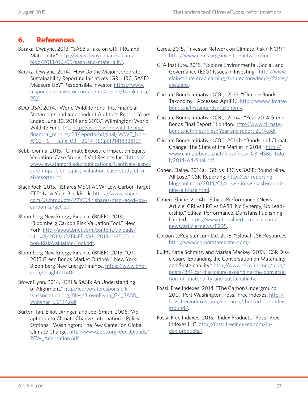# **6. References**

- Baraka, Dwayne. 2013. "SASB's Take on GRI, IIRC and Materiality." [http://www.dwaynebaraka.com/](http://www.dwaynebaraka.com/blog/2013/06/05/sasb-and-materialit/) [blog/2013/06/05/sasb-and-materialit/](http://www.dwaynebaraka.com/blog/2013/06/05/sasb-and-materialit/).
- Baraka, Dwayne. 2014. "How Do the Major Corporate Sustainability Reporting Initiatives (GRI, IIRC, SASB) Measure Up?" Responsible Investor. [https://www.](https://www.responsible-investor.com/home/article/baraka_csr/P0/) [responsible-investor.com/home/article/baraka\\_csr/](https://www.responsible-investor.com/home/article/baraka_csr/P0/) [P0/](https://www.responsible-investor.com/home/article/baraka_csr/P0/).
- BDO USA. 2014. "World Wildlife Fund, Inc. Financial Statements and Independent Auditor's Report: Years Ended June 30, 2014 and 2013." Wilmington: World Wildlife Fund, Inc. [http://assets.worldwildlife.org/](http://assets.worldwildlife.org/financial_reports/23/reports/original/WWF_Non-A133_FS_-_June_03__2014_(S).pdf?1418328169) [financial\\_reports/23/reports/original/WWF\\_Non-](http://assets.worldwildlife.org/financial_reports/23/reports/original/WWF_Non-A133_FS_-_June_03__2014_(S).pdf?1418328169)[A133\\_FS\\_-\\_June\\_03\\_\\_2014\\_\(S\).pdf?1418328169](http://assets.worldwildlife.org/financial_reports/23/reports/original/WWF_Non-A133_FS_-_June_03__2014_(S).pdf?1418328169).
- Bebb, Donna. 2015. "Climate Exposure Impact on Equity Valuation: Case Study of Vail Resorts Inc." [https://](https://www.law.stanford.edu/publications/climate-exposure-impact-on-equity-valuation-case-study-of-vail-resorts-inc) [www.law.stanford.edu/publications/Captivate-expo](https://www.law.stanford.edu/publications/climate-exposure-impact-on-equity-valuation-case-study-of-vail-resorts-inc)[sure-impact-on-equity-valuation-case-study-of-vi](https://www.law.stanford.edu/publications/climate-exposure-impact-on-equity-valuation-case-study-of-vail-resorts-inc)[al-resorts-inc.](https://www.law.stanford.edu/publications/climate-exposure-impact-on-equity-valuation-case-study-of-vail-resorts-inc)
- BlackRock. 2015. "iShares MSCI ACWI Low Carbon Target ETF." New York: BlackRock. [https://www.ishares.](https://www.ishares.com/us/products/271054/ishares-msci-acwi-low-carbon-target-etf) [com/us/products/271054/ishares-msci-acwi-low](https://www.ishares.com/us/products/271054/ishares-msci-acwi-low-carbon-target-etf)[carbon-target-etf.](https://www.ishares.com/us/products/271054/ishares-msci-acwi-low-carbon-target-etf)
- Bloomberg New Energy Finance (BNEF). 2013. "Bloomberg Carbon Risk Valuation Tool." New York. [http://about.bnef.com/content/uploads/](http://about.bnef.com/content/uploads/sites/4/2013/12/BNEF_WP_2013-11-25_Carbon-Risk-Valuation-Tool.pdf) [sites/4/2013/12/BNEF\\_WP\\_2013-11-25\\_Car](http://about.bnef.com/content/uploads/sites/4/2013/12/BNEF_WP_2013-11-25_Carbon-Risk-Valuation-Tool.pdf)[bon-Risk-Valuation-Tool.pdf](http://about.bnef.com/content/uploads/sites/4/2013/12/BNEF_WP_2013-11-25_Carbon-Risk-Valuation-Tool.pdf).
- Bloomberg New Energy Finance (BNEF). 2015. "Q1 2015 Green Bonds Market Outlook." New York: Bloomberg New Energy Finance. [https://www.bnef.](https://www.bnef.com/Insight/11400) [com/Insight/11400](https://www.bnef.com/Insight/11400).
- BrownFlynn. 2014. "GRI & SASB: An Understanding of Alignment." [http://corporateresponsibili](http://corporateresponsibilityassociation.org/files/BrownFlynn_G4_SASB_Webinar_5.21.14.pdf)[tyassociation.org/files/BrownFlynn\\_G4\\_SASB\\_](http://corporateresponsibilityassociation.org/files/BrownFlynn_G4_SASB_Webinar_5.21.14.pdf) [Webinar\\_5.21.14.pdf](http://corporateresponsibilityassociation.org/files/BrownFlynn_G4_SASB_Webinar_5.21.14.pdf).
- Burton, Ian, Elliot Diringer, and Joel Smith. 2006. "Adaptation to Climate Change: International Policy Options." Washington: The Pew Center on Global Climate Change. [http://www.c2es.org/docUploads/](http://www.c2es.org/docUploads/PEW_Adaptation.pdf) PEW Adaptation.pdf.
- Ceres. 2015. "Investor Network on Climate Risk (INCR)." [http://www.ceres.org/investor-network/incr.](http://www.ceres.org/investor-network/incr)
- CFA Institute. 2015. "Explore Environmental, Social, and Governance (ESG) Issues in Investing." [http://www.](http://www.cfainstitute.org/learning/future/knowledge/Pages/esg.aspx) [cfainstitute.org/learning/future/knowledge/Pages/](http://www.cfainstitute.org/learning/future/knowledge/Pages/esg.aspx) [esg.aspx](http://www.cfainstitute.org/learning/future/knowledge/Pages/esg.aspx).
- Climate Bonds Initiative (CBI). 2015. "Climate Bonds Taxonomy." Accessed April 16. [http://www.climate](http://www.climatebonds.net/standards/taxonomy)[bonds.net/standards/taxonomy](http://www.climatebonds.net/standards/taxonomy).
- Climate Bonds Initiative (CBI). 2014a. "Year 2014 Green Bonds Final Report." London. [http://www.climate](http://www.climatebonds.net/files/files/Year end report 2014.pdf)[bonds.net/files/files/Year end report 2014.pdf.](http://www.climatebonds.net/files/files/Year end report 2014.pdf)
- Climate Bonds Initiative (CBI). 2014b. "Bonds and Climate Change: The State of the Market in 2014." [http://](http://www.climatebonds.net/files/files/-CB-HSBC-15July2014-A4-final.pdf) [www.climatebonds.net/files/files/-CB-HSBC-15Ju](http://www.climatebonds.net/files/files/-CB-HSBC-15July2014-A4-final.pdf)[ly2014-A4-final.pdf](http://www.climatebonds.net/files/files/-CB-HSBC-15July2014-A4-final.pdf).
- Cohen, Elaine. 2014a. "GRI vs IIRC vs SASB: Round Nine. All Lose." CSR-Reporting. [http://csr-reporting.](http://csr-reporting.blogspot.com/2014/01/gri-vs-iirc-vs-sasb-round-nine-all-lose.html) [blogspot.com/2014/01/gri-vs-iirc-vs-sasb-round](http://csr-reporting.blogspot.com/2014/01/gri-vs-iirc-vs-sasb-round-nine-all-lose.html)[nine-all-lose.html.](http://csr-reporting.blogspot.com/2014/01/gri-vs-iirc-vs-sasb-round-nine-all-lose.html)
- Cohen, Elaine. 2014b. "Ethical Performance | News Article: GRI vs IIRC vs SASB: No Synergy, No Leadership." Ethical Performance. Dunstans Publishing Limited. [https://www.ethicalperformance.com/](https://www.ethicalperformance.com/news/article/news/8295) [news/article/news/8295.](https://www.ethicalperformance.com/news/article/news/8295)
- CorporateRegister.com Ltd. 2015. "Global CSR Resources." [http://www.corporateregister.com/.](http://www.corporateregister.com/)
- Eulitt, Katie Schmitz, and Marisa Mackey. 2013. "CSR Disclosure: Expanding the Conversation on Materiality and Sustainability." [http://www.csrwire.com/blog/](http://www.csrwire.com/blog/posts/841-csr-disclosure-expanding-the-conversation-on-materiality-and-sustainability) [posts/841-csr-disclosure-expanding-the-conversa](http://www.csrwire.com/blog/posts/841-csr-disclosure-expanding-the-conversation-on-materiality-and-sustainability)[tion-on-materiality-and-sustainability](http://www.csrwire.com/blog/posts/841-csr-disclosure-expanding-the-conversation-on-materiality-and-sustainability).
- Fossil Free Indexes. 2014. "The Carbon Underground 200." Port Washington: Fossil Free Indexes. [http://](http://fossilfreeindexes.com/research/the-carbon-underground/) [fossilfreeindexes.com/research/the-carbon-under](http://fossilfreeindexes.com/research/the-carbon-underground/)[ground/.](http://fossilfreeindexes.com/research/the-carbon-underground/)
- Fossil Free Indexes. 2015. "Index Products." Fossil Free Indexes LLC. [http://fossilfreeindexes.com/in](http://fossilfreeindexes.com/index-products/)[dex-products/.](http://fossilfreeindexes.com/index-products/)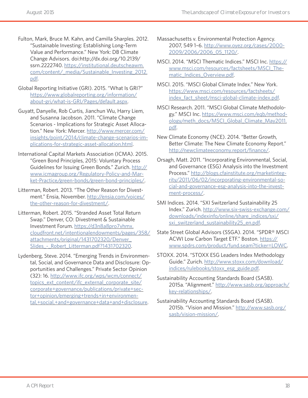- Fulton, Mark, Bruce M. Kahn, and Camilla Sharples. 2012. "Sustainable Investing: Establishing Long-Term Value and Performance." New York: DB Climate Change Advisors. doi:http://dx.doi.org/10.2139/ ssrn.2222740. [https://institutional.deutscheawm.](https://institutional.deutscheawm.com/content/_media/Sustainable_Investing_2012.pdf) [com/content/\\_media/Sustainable\\_Investing\\_2012.](https://institutional.deutscheawm.com/content/_media/Sustainable_Investing_2012.pdf) [pdf.](https://institutional.deutscheawm.com/content/_media/Sustainable_Investing_2012.pdf)
- Global Reporting Initiative (GRI). 2015. "What Is GRI?" [https://www.globalreporting.org/information/](https://www.globalreporting.org/information/about-gri/what-is-GRI/Pages/default.aspx) [about-gri/what-is-GRI/Pages/default.aspx](https://www.globalreporting.org/information/about-gri/what-is-GRI/Pages/default.aspx).
- Guyatt, Danyelle, Rob Curtis, Jianchun Wu, Harry Liem, and Susanna Jacobson. 2011. "Climate Change Scenarios - Implications for Strategic Asset Allocation." New York: Mercer. [http://www.mercer.com/](http://www.mercer.com/insights/point/2014/climate-change-scenarios-implications-for-strategic-asset-) [insights/point/2014/climate-change-scenarios-im](http://www.mercer.com/insights/point/2014/climate-change-scenarios-implications-for-strategic-asset-)[plications-for-strategic-asset-allocation.html.](http://www.mercer.com/insights/point/2014/climate-change-scenarios-implications-for-strategic-asset-)
- International Capital Markets Association (ICMA). 2015. "Green Bond Principles, 2015: Voluntary Process Guidelines for Issuing Green Bonds." Zurich. [http://](http://www.icmagroup.org/Regulatory-Policy-and-Market-Practice/green-bonds/green-bond-principles/) [www.icmagroup.org/Regulatory-Policy-and-Mar](http://www.icmagroup.org/Regulatory-Policy-and-Market-Practice/green-bonds/green-bond-principles/)[ket-Practice/green-bonds/green-bond-principles/](http://www.icmagroup.org/Regulatory-Policy-and-Market-Practice/green-bonds/green-bond-principles/).
- Litterman, Robert. 2013. "The Other Reason for Divestment." Ensia, November. [http://ensia.com/voices/](http://ensia.com/voices/the-other-reason-for-divestment/) [the-other-reason-for-divestment/](http://ensia.com/voices/the-other-reason-for-divestment/).
- Litterman, Robert. 2015. "Stranded Asset Total Return Swap." Denver, CO: Divestment & Sustainable Investment Forum. [https://d3n8a8pro7vhmx.](https://d3n8a8pro7vhmx.cloudfront.net/intentionalendowments/pages/358/attachments/original/1431702320/Denver_Slides_-_Robert_Litterman.pdf?1431702320) [cloudfront.net/intentionalendowments/pages/358/](https://d3n8a8pro7vhmx.cloudfront.net/intentionalendowments/pages/358/attachments/original/1431702320/Denver_Slides_-_Robert_Litterman.pdf?1431702320) [attachments/original/1431702320/Denver\\_](https://d3n8a8pro7vhmx.cloudfront.net/intentionalendowments/pages/358/attachments/original/1431702320/Denver_Slides_-_Robert_Litterman.pdf?1431702320) [Slides\\_-\\_Robert\\_Litterman.pdf?1431702320.](https://d3n8a8pro7vhmx.cloudfront.net/intentionalendowments/pages/358/attachments/original/1431702320/Denver_Slides_-_Robert_Litterman.pdf?1431702320)
- Lydenberg, Steve. 2014. "Emerging Trends in Environmental, Social, and Governance Data and Disclosure: Opportunities and Challenges." Private Sector Opinion (32): 16. [http://www.ifc.org/wps/wcm/connect/](http://www.ifc.org/wps/wcm/connect/topics_ext_content/ifc_external_corporate_site/corporate+governan) [topics\\_ext\\_content/ifc\\_external\\_corporate\\_site/](http://www.ifc.org/wps/wcm/connect/topics_ext_content/ifc_external_corporate_site/corporate+governan) [corporate+governance/publications/private+sec](http://www.ifc.org/wps/wcm/connect/topics_ext_content/ifc_external_corporate_site/corporate+governan)[tor+opinion/emerging+trends+in+environmen](http://www.ifc.org/wps/wcm/connect/topics_ext_content/ifc_external_corporate_site/corporate+governan)[tal,+social,+and+governance+data+and+disclosure](http://www.ifc.org/wps/wcm/connect/topics_ext_content/ifc_external_corporate_site/corporate+governan).
- Massachusetts v. Environmental Protection Agency. 2007, 549 1–6. [http://www.oyez.org/cases/2000-](http://www.oyez.org/cases/2000-2009/2006/2006_05_1120/) [2009/2006/2006\\_05\\_1120/](http://www.oyez.org/cases/2000-2009/2006/2006_05_1120/).
- MSCI. 2014. "MSCI Thematic Indices." MSCI Inc. [https://](https://www.msci.com/resources/factsheets/MSCI_Thematic_Indices_Overview.pdf) [www.msci.com/resources/factsheets/MSCI\\_The](https://www.msci.com/resources/factsheets/MSCI_Thematic_Indices_Overview.pdf)[matic\\_Indices\\_Overview.pdf](https://www.msci.com/resources/factsheets/MSCI_Thematic_Indices_Overview.pdf).
- MSCI. 2015. "MSCI Global Climate Index." New York. [https://www.msci.com/resources/factsheets/](https://www.msci.com/resources/factsheets/index_fact_sheet/msci-global-climate-index.pdf) [index\\_fact\\_sheet/msci-global-climate-index.pdf.](https://www.msci.com/resources/factsheets/index_fact_sheet/msci-global-climate-index.pdf)
- MSCI Research. 2011. "MSCI Global Climate Methodology." MSCI Inc. [https://www.msci.com/eqb/method](https://www.msci.com/eqb/methodology/meth_docs/MSCI_Global_Climate_May2011.pdf)[ology/meth\\_docs/MSCI\\_Global\\_Climate\\_May2011.](https://www.msci.com/eqb/methodology/meth_docs/MSCI_Global_Climate_May2011.pdf) [pdf.](https://www.msci.com/eqb/methodology/meth_docs/MSCI_Global_Climate_May2011.pdf)
- New Climate Economy (NCE). 2014. "Better Growth, Better Climate: The New Climate Economy Report." <http://newclimateeconomy.report/finance/>.
- Orsagh, Matt. 2011. "Incorporating Environmental, Social, and Governance (ESG) Analysis into the Investment Process." [http://blogs.cfainstitute.org/marketinteg](http://blogs.cfainstitute.org/marketintegrity/2011/06/02/incorporating-environmental-social-and-governance-esg-analysis-into-the-investment-process/)[rity/2011/06/02/incorporating-environmental-so](http://blogs.cfainstitute.org/marketintegrity/2011/06/02/incorporating-environmental-social-and-governance-esg-analysis-into-the-investment-process/)[cial-and-governance-esg-analysis-into-the-invest](http://blogs.cfainstitute.org/marketintegrity/2011/06/02/incorporating-environmental-social-and-governance-esg-analysis-into-the-investment-process/)[ment-process/](http://blogs.cfainstitute.org/marketintegrity/2011/06/02/incorporating-environmental-social-and-governance-esg-analysis-into-the-investment-process/).
- SMI Indices. 2014. "SXI Switzerland Sustainability 25 Index." Zurich. [http://www.six-swiss-exchange.com/](http://www.six-swiss-exchange.com/downloads/indexinfo/online/share_indices/sxi/sxi_switzerland_sustainability25_en.pdf) [downloads/indexinfo/online/share\\_indices/sxi/](http://www.six-swiss-exchange.com/downloads/indexinfo/online/share_indices/sxi/sxi_switzerland_sustainability25_en.pdf) [sxi\\_switzerland\\_sustainability25\\_en.pdf.](http://www.six-swiss-exchange.com/downloads/indexinfo/online/share_indices/sxi/sxi_switzerland_sustainability25_en.pdf)
- State Street Global Advisors (SSGA). 2014. "SPDR® MSCI ACWI Low Carbon Target ETF." Boston. [https://](https://www.spdrs.com/product/fund.seam?ticker=LOWC) [www.spdrs.com/product/fund.seam?ticker=LOWC.](https://www.spdrs.com/product/fund.seam?ticker=LOWC)
- STOXX. 2014. "STOXX ESG Leaders Index Methodology Guide." Zurich. [http://www.stoxx.com/download/](http://www.stoxx.com/download/indices/rulebooks/stoxx_esg_guide.pdf) [indices/rulebooks/stoxx\\_esg\\_guide.pdf](http://www.stoxx.com/download/indices/rulebooks/stoxx_esg_guide.pdf).
- Sustainability Accounting Standards Board (SASB). 2015a. "Alignment." [http://www.sasb.org/approach/](http://www.sasb.org/approach/key-relationships/) [key-relationships/.](http://www.sasb.org/approach/key-relationships/)
- Sustainability Accounting Standards Board (SASB). 2015b. "Vision and Mission." [http://www.sasb.org/](http://www.sasb.org/sasb/vision-mission/) [sasb/vision-mission/](http://www.sasb.org/sasb/vision-mission/).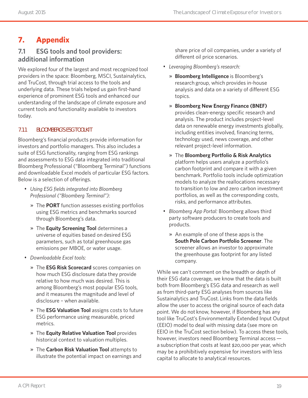# **7. Appendix**

### **7.1 ESG tools and tool providers: additional information**

We explored four of the largest and most recognized tool providers in the space: Bloomberg, MSCI, Sustainalytics, and TruCost, through trial access to the tools and underlying data. These trials helped us gain first-hand experience of prominent ESG tools and enhanced our understanding of the landscape of climate exposure and current tools and functionality available to investors today.

### **7.1.1 BLOOMBERG'S ESG TOOLKIT**

Bloomberg's financial products provide information for investors and portfolio managers. This also includes a suite of ESG functionality, ranging from ESG rankings and assessments to ESG data integrated into traditional Bloomberg Professional ("Bloomberg Terminal") functions and downloadable Excel models of particular ESG factors. Below is a selection of offerings.

- *Using ESG fields integrated into Bloomberg Professional ("Bloomberg Terminal"):*
	- » The **PORT** function assesses existing portfolios using ESG metrics and benchmarks sourced through Bloomberg's data.
	- » The **Equity Screening Tool** determines a universe of equities based on desired ESG parameters, such as total greenhouse gas emissions per MBOE, or water usage.
- *Downloadable Excel tools:*
	- » The **ESG Risk Scorecard** scores companies on how much ESG disclosure data they provide relative to how much was desired. This is among Bloomberg's most popular ESG tools, and it measures the magnitude and level of disclosure – when available.
	- » The **ESG Valuation Tool** assigns costs to future ESG performance using measurable, priced metrics.
	- » The **Equity Relative Valuation Tool** provides historical context to valuation multiples.
	- » The **Carbon Risk Valuation Tool** attempts to illustrate the potential impact on earnings and

share price of oil companies, under a variety of different oil price scenarios.

- *Leveraging Bloomberg's research:*
	- » **Bloomberg Intelligence** is Bloomberg's research group, which provides in-house analysis and data on a variety of different ESG topics.
	- » **Bloomberg New Energy Finance (BNEF)** provides clean-energy specific research and analysis. The product includes project-level data on renewable energy investments globally, including entities involved, financing terms, technology used, news coverage, and other relevant project-level information.
	- » The **Bloomberg Portfolio & Risk Analytics** platform helps users analyze a portfolio's carbon footprint and compare it with a given benchmark. Portfolio tools include optimization models to analyze the reallocations necessary to transition to low and zero carbon investment portfolios, as well as the corresponding costs, risks, and performance attributes.
- *Bloomberg App Portal:* Bloomberg allows third party software producers to create tools and products.
	- » An example of one of these apps is the **South Pole Carbon Portfolio Screener**. The screener allows an investor to approximate the greenhouse gas footprint for any listed company.

While we can't comment on the breadth or depth of their ESG data coverage, we know that the data is built both from Bloomberg's ESG data and research as well as from third-party ESG analyses from sources like Sustainalytics and TruCost. Links from the data fields allow the user to access the original source of each data point. We do not know, however, if Bloomberg has any tool like TruCost's Environmentally Extended Input Output (EEIO) model to deal with missing data (see more on EEIO in the TruCost section below). To access these tools, however, investors need Bloomberg Terminal access a subscription that costs at least \$20,000 per year, which may be a prohibitively expensive for investors with less capital to allocate to analytical resources.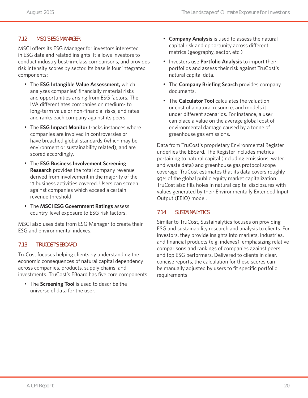#### **7.1.2 MSCI'S ESG MANAGER**

MSCI offers its ESG Manager for investors interested in ESG data and related insights. It allows investors to conduct industry best-in-class comparisons, and provides risk intensity scores by sector. Its base is four integrated components:

- The **ESG Intangible Value Assessment,** which analyzes companies' financially material risks and opportunities arising from ESG factors. The IVA differentiates companies on medium- to long-term value or non-financial risks, and rates and ranks each company against its peers.
- The **ESG Impact Monitor** tracks instances where companies are involved in controversies or have breached global standards (which may be environment or sustainability related), and are scored accordingly.
- The **ESG Business Involvement Screening Research** provides the total company revenue derived from involvement in the majority of the 17 business activities covered. Users can screen against companies which exceed a certain revenue threshold.
- The **MSCI ESG Government Ratings** assess country-level exposure to ESG risk factors.

MSCI also uses data from ESG Manager to create their ESG and environmental indexes.

#### **7.1.3 TRUCOST'S EBOARD**

TruCost focuses helping clients by understanding the economic consequences of natural capital dependency across companies, products, supply chains, and investments. TruCost's EBoard has five core components:

• The **Screening Tool** is used to describe the universe of data for the user.

- **Company Analysis** is used to assess the natural capital risk and opportunity across different metrics (geography, sector, etc.)
- Investors use **Portfolio Analysis** to import their portfolios and assess their risk against TruCost's natural capital data.
- The **Company Briefing Search** provides company documents.
- The **Calculator Tool** calculates the valuation or cost of a natural resource, and models it under different scenarios. For instance, a user can place a value on the average global cost of environmental damage caused by a tonne of greenhouse gas emissions.

Data from TruCost's proprietary Environmental Register underlies the EBoard. The Register includes metrics pertaining to natural capital (including emissions, water, and waste data) and greenhouse gas protocol scope coverage. TruCost estimates that its data covers roughly 93% of the global public equity market capitalization. TruCost also fills holes in natural capital disclosures with values generated by their Environmentally Extended Input Output (EEIO) model.

#### **7.1.4 SUSTAINALYTICS**

Similar to TruCost, Sustainalytics focuses on providing ESG and sustainability research and analysis to clients. For investors, they provide insights into markets, industries, and financial products (e.g. indexes), emphasizing relative comparisons and rankings of companies against peers and top ESG performers. Delivered to clients in clear, concise reports, the calculation for these scores can be manually adjusted by users to fit specific portfolio requirements.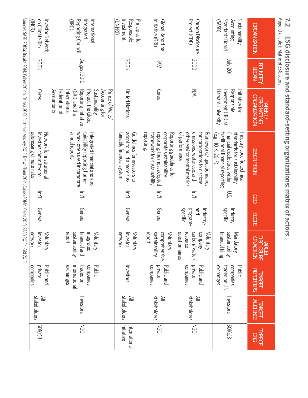| Appendix Table 1: Matrix of ESG actors<br>7.2                   |                                 |                                                                                                                                                                              | ESG disclosure and standard-setting organizations: matrix of actors                                                                                  |        |                                          |                                                                             |                                                                |                           |                              |
|-----------------------------------------------------------------|---------------------------------|------------------------------------------------------------------------------------------------------------------------------------------------------------------------------|------------------------------------------------------------------------------------------------------------------------------------------------------|--------|------------------------------------------|-----------------------------------------------------------------------------|----------------------------------------------------------------|---------------------------|------------------------------|
| <b>ORGANIZATION</b>                                             | <b>FOUNDED/</b><br><b>BEGAN</b> | <b>ORGANIZATION</b><br><b>ORIGINATING</b><br><b>PARENT/</b>                                                                                                                  | <b>DESCRIPTION</b>                                                                                                                                   | GEO    | SCOPE                                    | TARGET<br>DISCLOSURE<br>OR ACTION<br><b>ACTION</b>                          | <b>REPORTERS</b><br>TARGET                                     | <b>TARGET</b><br>AUDIENCE | <b>TYPE OF</b><br><b>ORG</b> |
| <b>Standards Board</b><br>Accounting<br>Sustainability<br>(SVS) | <b>IIDZ AIN</b>                 | Responsible<br>Harvard University<br>Initiative for<br>Investment (IRI) at                                                                                                   | standards for sustainability<br>financial disclosures within<br>(e.g., 10-K, 20-F)<br>traditional financial reporting<br>Industry-specific technical | $\sum$ | specific<br>Industry                     | financial filing<br>yilidaninability<br>Mandatory                           | exchanges<br>traded on US<br>companies<br>Public               | Investors                 | <b>501(c)3</b>               |
| Project (CDP)<br>Carbon Disclosure                              | 2000                            | N/A                                                                                                                                                                          | of performance<br>other environmental metrics<br>emissions, water use, and<br>for corporations to disclose<br>Frameworks/ questionnaires             | 르      | specific<br>pue<br>brogram-<br>Industry- | <u>questionnaires</u><br>carbon/water<br>company<br>Voluntary<br>resource   | private<br>companies<br>Public and                             | stakeholders<br>$\geq$    | <b>DED</b>                   |
| Initiative (GRI)<br>Global Reporting                            | <b>/661</b>                     | <b>Ceres</b>                                                                                                                                                                 | framework for sustainability<br>reporting.<br>reporting; the most adopted<br>corporate sustainability<br>Reporting guidelines for                    | 편      | General                                  | <b>Sustainability</b><br>Ireport<br>comprehensive<br>Voluntary              | private<br>companies<br>Public and                             | stakeholders<br>$\geq$    | <b>DED</b>                   |
| (INPRI)<br>Principles for<br>Investment<br>Responsible          | <b>2005</b>                     | <b>United Nations</b>                                                                                                                                                        | adopt to build a more sus-<br>tainable financial system<br>Guidelines for investors to                                                               | 프      | General                                  | network<br>investor<br>Voluntary                                            | Investors                                                      | stakeholders<br>$\geq$    | Initiative<br>International  |
| (IRC)<br>Reporting Council<br>International<br>Integrated       | August 2010                     | <b>Sustainability</b><br>Accounting tor<br>Prince of Wales<br>Accountants<br>Federation of<br>Reporting Initiative<br>Project, the Global<br>International<br>(GRI), and the | annual reports<br>work, often used incorporate<br>tainability reporting trame-<br>Integrated financial and sus-                                      | 프      | General                                  | <b>report</b><br>sustainability<br>financial and<br>integrated<br>Voluntary | exchanges<br>Public<br>international<br>traded on<br>companies | Investors                 | <b>NGO</b>                   |
| on Climate Risk<br>(INCR)<br>Investor Network                   | 2003                            | <b>Ceres</b>                                                                                                                                                                 | addressing climate risks<br>investors committed to<br>Network tor institutiona                                                                       | 弖      | General                                  | investor<br>network<br>Voluntary                                            | private<br>Public and<br>companies                             | stakeholders<br>≧         | 501(c)3                      |
|                                                                 |                                 |                                                                                                                                                                              | Sources: SASB 2015a; Baraka 2014; Cohen 2014a; Baraka 2013; Eulitt and Mackey 2013; BrownFlynn 2014; Cohen 2014; Ceres 2015; SASB 2015b; GRI 2015.   |        |                                          |                                                                             |                                                                |                           |                              |